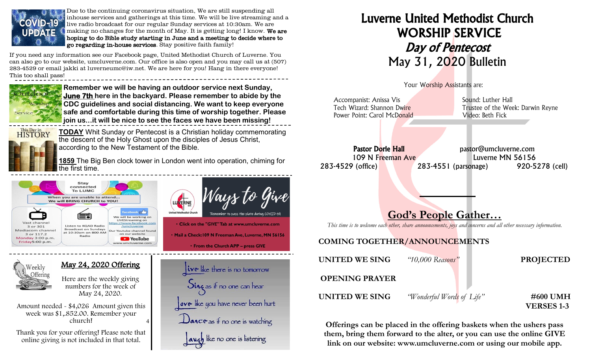

Due to the continuing coronavirus situation, We are still suspending all inhouse services and gatherings at this time. We will be live streaming and a live radio broadcast for our regular Sunday services at 10:30am. We are making no changes for the month of May. It is getting long! I know. We are hoping to do Bible study starting in June and a meeting to decide where to go regarding in-house services. Stay positive faith family!

If you need any information see our Facebook page, United Methodist Church of Luverne. You can also go to our website, umcluverne.com. Our office is also open and you may call us at (507) 283-4529 or email jakki at luverneumc@iw.net. We are here for you! Hang in there everyone! This too shall pass!



**Remember we will be having an outdoor service next Sunday, June 7th here in the backyard. Please remember to abide by the CDC guidelines and social distancing. We want to keep everyone safe and comfortable during this time of worship together. Please join us...it will be nice to see the faces we have been missing!**



/eekly

**TODAY** Whit Sunday or Pentecost is a Christian holiday commemorating the descent of the Holy Ghost upon the disciples of Jesus Christ, according to the New Testament of the Bible.

**1859** The Big Ben clock tower in London went into operation, chiming for he first time.



May 24, 2020 Offering

Here are the weekly giving numbers for the week of May 24, 2020.

4 Amount needed - \$4,026 Amount given this week was \$1,.852.00. Remember your church!

Thank you for your offering! Please note that online giving is not included in that total.



 $\mathbf{iv}\cdot\mathbf{v}$  like there is no tomorrow Sing as if no one can hear ove like you have never been hurt Dance as if no one is watching auch like no one is listening

• From the Church APP - press GIVE

## Luverne United Methodist Church WORSHIP SERVICE Day of Pentecost May 31, 2020 Bulletin



| Accompanist: Anissa Vis<br>Tech Wizard: Shannon Dwire<br>Power Point: Carol McDonald                            | Sound: Luther Hall<br>Trustee of the Week: Darwin Reyne<br>Video: Beth Fick                                        |  |  |
|-----------------------------------------------------------------------------------------------------------------|--------------------------------------------------------------------------------------------------------------------|--|--|
| <b>Pastor Dorie Hall</b><br>109 N Freeman Ave<br>283-4529 (office)                                              | pastor@umcluverne.com<br>Luverne MN 56156<br>283-4551 (parsonage)<br>920-5278 (cell)<br><b>God's People Gather</b> |  |  |
| This time is to welcome each other, share announcements, joys and concerns and all other necessary information. |                                                                                                                    |  |  |
| <b>COMING TOGETHER/ANNOUNCEMENTS</b>                                                                            |                                                                                                                    |  |  |
| UNITED WE SING                                                                                                  | "10,000 Reasons"<br><b>PROJECTED</b>                                                                               |  |  |
| <b>OPENING PRAYER</b>                                                                                           |                                                                                                                    |  |  |
| UNITED WE SING                                                                                                  | #600 UMH<br>"Wonderful Words of Life"<br><b>VERSES 1-3</b>                                                         |  |  |

Offerings can be placed in the offering baskets when the ushers pass them, bring them forward to the alter, or you can use the online GIVE link on our website: www.umcluverne.com or using our mobile app.